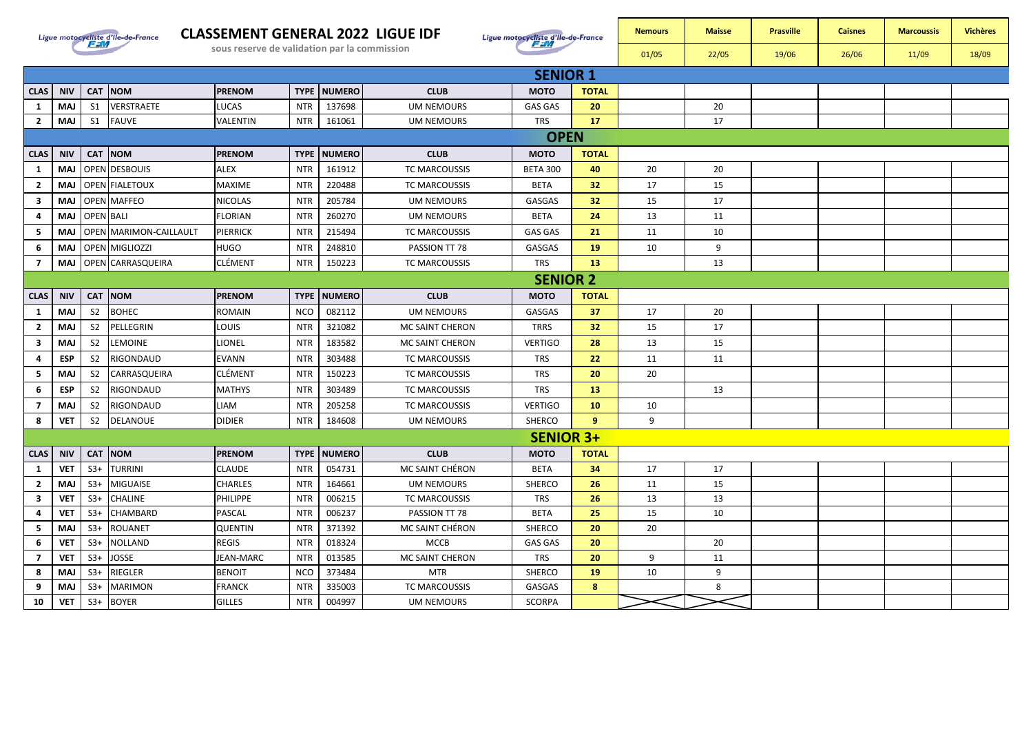

## **CLASSEMENT GENERAL 2022 LIGUE IDF**

**CLAS NIV CAT NOM PRENOM TYPE NUMERO CLUB MOTO TOTAL**



**SENIOR 1**

| <b>Nemours</b> | <b>Maisse</b> | <b>Prasville</b> | <b>Caisnes</b> | <b>Marcoussis</b> | <b>Vichères</b> |
|----------------|---------------|------------------|----------------|-------------------|-----------------|
| 01/05          | 22/05         | 19/06            | 26/06          | 11/09             | 18/09           |
|                |               |                  |                |                   |                 |
|                |               |                  |                |                   |                 |
|                | 20            |                  |                |                   |                 |
|                | 17            |                  |                |                   |                 |
|                |               |                  |                |                   |                 |

| 1                       | <b>MAJ</b>      | S1               | VERSTRAETE             | LUCAS           | <b>NTR</b>  | 137698        | <b>UM NEMOURS</b>    | <b>GAS GAS</b>   | 20              |    | 20 |  |  |  |  |
|-------------------------|-----------------|------------------|------------------------|-----------------|-------------|---------------|----------------------|------------------|-----------------|----|----|--|--|--|--|
| $\overline{2}$          | <b>MAJ</b>      | S <sub>1</sub>   | <b>FAUVE</b>           | VALENTIN        | <b>NTR</b>  | 161061        | <b>UM NEMOURS</b>    | <b>TRS</b>       | 17              |    | 17 |  |  |  |  |
|                         | <b>OPEN</b>     |                  |                        |                 |             |               |                      |                  |                 |    |    |  |  |  |  |
| <b>CLAS</b>             | <b>NIV</b>      |                  | CAT NOM                | <b>PRENOM</b>   | <b>TYPE</b> | <b>NUMERO</b> | <b>CLUB</b>          | <b>MOTO</b>      | <b>TOTAL</b>    |    |    |  |  |  |  |
| 1                       | MAJ             |                  | OPEN DESBOUIS          | <b>ALEX</b>     | <b>NTR</b>  | 161912        | TC MARCOUSSIS        | <b>BETA 300</b>  | 40              | 20 | 20 |  |  |  |  |
| $\overline{2}$          | <b>MAJ</b>      |                  | <b>OPEN FIALETOUX</b>  | MAXIME          | <b>NTR</b>  | 220488        | TC MARCOUSSIS        | <b>BETA</b>      | 32 <sub>2</sub> | 17 | 15 |  |  |  |  |
| $\mathbf{3}$            | MAJ             |                  | <b>OPEN MAFFEO</b>     | <b>NICOLAS</b>  | <b>NTR</b>  | 205784        | UM NEMOURS           | GASGAS           | 32 <sub>2</sub> | 15 | 17 |  |  |  |  |
| 4                       | <b>MAJ</b>      | <b>OPEN BALI</b> |                        | FLORIAN         | <b>NTR</b>  | 260270        | <b>UM NEMOURS</b>    | <b>BETA</b>      | 24              | 13 | 11 |  |  |  |  |
| 5                       | <b>MAJ</b>      |                  | OPEN MARIMON-CAILLAULT | <b>PIERRICK</b> | <b>NTR</b>  | 215494        | <b>TC MARCOUSSIS</b> | <b>GAS GAS</b>   | 21              | 11 | 10 |  |  |  |  |
| 6                       | <b>MAJ</b>      |                  | <b>OPEN MIGLIOZZI</b>  | HUGO            | <b>NTR</b>  | 248810        | PASSION TT 78        | GASGAS           | 19              | 10 | 9  |  |  |  |  |
| $\overline{7}$          | <b>MAJ</b>      |                  | OPEN CARRASQUEIRA      | <b>CLÉMENT</b>  | <b>NTR</b>  | 150223        | <b>TC MARCOUSSIS</b> | <b>TRS</b>       | 13              |    | 13 |  |  |  |  |
|                         | <b>SENIOR 2</b> |                  |                        |                 |             |               |                      |                  |                 |    |    |  |  |  |  |
| <b>CLAS</b>             | <b>NIV</b>      |                  | CAT NOM                | <b>PRENOM</b>   | <b>TYPE</b> | <b>NUMERO</b> | <b>CLUB</b>          | <b>MOTO</b>      | <b>TOTAL</b>    |    |    |  |  |  |  |
| $\mathbf{1}$            | <b>MAJ</b>      | S <sub>2</sub>   | <b>BOHEC</b>           | ROMAIN          | <b>NCO</b>  | 082112        | <b>UM NEMOURS</b>    | GASGAS           | 37              | 17 | 20 |  |  |  |  |
| $\overline{2}$          | <b>MAJ</b>      | S <sub>2</sub>   | PELLEGRIN              | LOUIS           | <b>NTR</b>  | 321082        | MC SAINT CHERON      | <b>TRRS</b>      | 32 <sub>2</sub> | 15 | 17 |  |  |  |  |
| $\mathbf{3}$            | <b>MAJ</b>      | <b>S2</b>        | <b>LEMOINE</b>         | LIONEL          | <b>NTR</b>  | 183582        | MC SAINT CHERON      | <b>VERTIGO</b>   | 28              | 13 | 15 |  |  |  |  |
| 4                       | <b>ESP</b>      | <b>S2</b>        | <b>RIGONDAUD</b>       | <b>EVANN</b>    | <b>NTR</b>  | 303488        | TC MARCOUSSIS        | <b>TRS</b>       | 22              | 11 | 11 |  |  |  |  |
| 5                       | <b>MAJ</b>      | S <sub>2</sub>   | CARRASQUEIRA           | CLÉMENT         | <b>NTR</b>  | 150223        | <b>TC MARCOUSSIS</b> | <b>TRS</b>       | 20              | 20 |    |  |  |  |  |
| 6                       | <b>ESP</b>      | <b>S2</b>        | RIGONDAUD              | <b>MATHYS</b>   | <b>NTR</b>  | 303489        | TC MARCOUSSIS        | <b>TRS</b>       | 13              |    | 13 |  |  |  |  |
| $\overline{7}$          | <b>MAJ</b>      | <b>S2</b>        | RIGONDAUD              | LIAM            | <b>NTR</b>  | 205258        | TC MARCOUSSIS        | <b>VERTIGO</b>   | 10              | 10 |    |  |  |  |  |
| 8                       | <b>VET</b>      | S <sub>2</sub>   | <b>DELANOUE</b>        | <b>DIDIER</b>   | <b>NTR</b>  | 184608        | <b>UM NEMOURS</b>    | SHERCO           | 9               | 9  |    |  |  |  |  |
|                         |                 |                  |                        |                 |             |               |                      | <b>SENIOR 3+</b> |                 |    |    |  |  |  |  |
| <b>CLAS</b>             | <b>NIV</b>      |                  | CAT NOM                | <b>PRENOM</b>   | <b>TYPE</b> | <b>NUMERO</b> | <b>CLUB</b>          | <b>MOTO</b>      | <b>TOTAL</b>    |    |    |  |  |  |  |
| $\mathbf{1}$            | <b>VET</b>      | $S3+$            | <b>TURRINI</b>         | <b>CLAUDE</b>   | <b>NTR</b>  | 054731        | MC SAINT CHÉRON      | <b>BETA</b>      | 34              | 17 | 17 |  |  |  |  |
| $\overline{2}$          | <b>MAJ</b>      | $S3+$            | MIGUAISE               | <b>CHARLES</b>  | <b>NTR</b>  | 164661        | <b>UM NEMOURS</b>    | <b>SHERCO</b>    | 26              | 11 | 15 |  |  |  |  |
| $\overline{\mathbf{3}}$ | <b>VET</b>      | $S3+$            | <b>CHALINE</b>         | <b>PHILIPPE</b> | <b>NTR</b>  | 006215        | <b>TC MARCOUSSIS</b> | <b>TRS</b>       | 26              | 13 | 13 |  |  |  |  |
| 4                       | <b>VET</b>      | $S3+$            | <b>CHAMBARD</b>        | PASCAL          | <b>NTR</b>  | 006237        | PASSION TT 78        | <b>BETA</b>      | 25              | 15 | 10 |  |  |  |  |
| 5                       | <b>MAJ</b>      | $S3+$            | <b>ROUANET</b>         | <b>QUENTIN</b>  | <b>NTR</b>  | 371392        | MC SAINT CHÉRON      | SHERCO           | 20              | 20 |    |  |  |  |  |
| 6                       | <b>VET</b>      | $S3+$            | <b>NOLLAND</b>         | <b>REGIS</b>    | <b>NTR</b>  | 018324        | <b>MCCB</b>          | <b>GAS GAS</b>   | 20              |    | 20 |  |  |  |  |
| $\overline{7}$          | <b>VET</b>      | $S3+$            | <b>JOSSE</b>           | JEAN-MARC       | <b>NTR</b>  | 013585        | MC SAINT CHERON      | <b>TRS</b>       | 20              | 9  | 11 |  |  |  |  |
| 8                       | <b>MAJ</b>      | $S3+$            | <b>RIEGLER</b>         | <b>BENOIT</b>   | <b>NCO</b>  | 373484        | <b>MTR</b>           | SHERCO           | 19              | 10 | 9  |  |  |  |  |
| 9                       | <b>MAJ</b>      | $S3+$            | <b>MARIMON</b>         | <b>FRANCK</b>   | <b>NTR</b>  | 335003        | TC MARCOUSSIS        | GASGAS           | 8               |    | 8  |  |  |  |  |
| 10                      | <b>VET</b>      | $S3+$            | <b>BOYER</b>           | <b>GILLES</b>   | <b>NTR</b>  | 004997        | <b>UM NEMOURS</b>    | <b>SCORPA</b>    |                 |    |    |  |  |  |  |